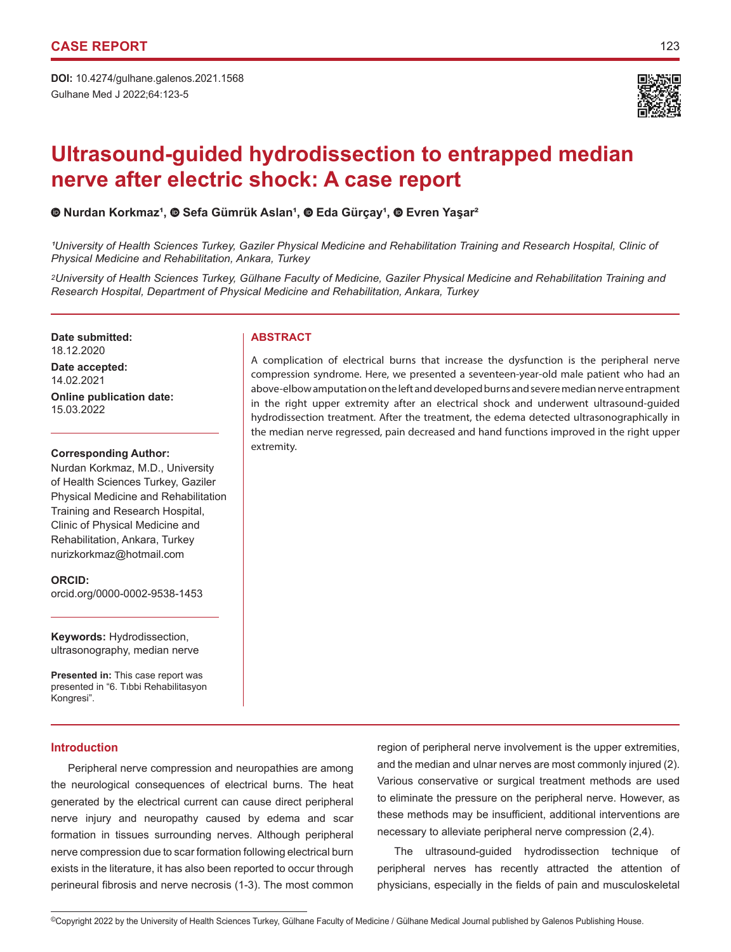

# **Ultrasound-guided hydrodissection to entrapped median nerve after electric shock: A case report**

# **Nurdan Korkmaz¹, Sefa Gümrük Aslan¹,Eda Gürçay¹,Evren Yaşar²**

*¹University of Health Sciences Turkey, Gaziler Physical Medicine and Rehabilitation Training and Research Hospital, Clinic of Physical Medicine and Rehabilitation, Ankara, Turkey*

*2University of Health Sciences Turkey, Gülhane Faculty of Medicine, Gaziler Physical Medicine and Rehabilitation Training and Research Hospital, Department of Physical Medicine and Rehabilitation, Ankara, Turkey*

**Date submitted: ABSTRACT** 18.12.2020

**Date accepted:** 14.02.2021

**Online publication date:** 15.03.2022

### **Corresponding Author:**

Nurdan Korkmaz, M.D., University of Health Sciences Turkey, Gaziler Physical Medicine and Rehabilitation Training and Research Hospital, Clinic of Physical Medicine and Rehabilitation, Ankara, Turkey nurizkorkmaz@hotmail.com

**ORCID:**  orcid.org/0000-0002-9538-1453

**Keywords:** Hydrodissection, ultrasonography, median nerve

**Presented in:** This case report was presented in "6. Tıbbi Rehabilitasyon Kongresi".

# **Introduction**

Peripheral nerve compression and neuropathies are among the neurological consequences of electrical burns. The heat generated by the electrical current can cause direct peripheral nerve injury and neuropathy caused by edema and scar formation in tissues surrounding nerves. Although peripheral nerve compression due to scar formation following electrical burn exists in the literature, it has also been reported to occur through perineural fibrosis and nerve necrosis (1-3). The most common

A complication of electrical burns that increase the dysfunction is the peripheral nerve compression syndrome. Here, we presented a seventeen-year-old male patient who had an above-elbow amputation on the left and developed burns and severe median nerve entrapment in the right upper extremity after an electrical shock and underwent ultrasound-guided hydrodissection treatment. After the treatment, the edema detected ultrasonographically in the median nerve regressed, pain decreased and hand functions improved in the right upper extremity.

> region of peripheral nerve involvement is the upper extremities, and the median and ulnar nerves are most commonly injured (2). Various conservative or surgical treatment methods are used to eliminate the pressure on the peripheral nerve. However, as these methods may be insufficient, additional interventions are necessary to alleviate peripheral nerve compression (2,4).

> The ultrasound-guided hydrodissection technique of peripheral nerves has recently attracted the attention of physicians, especially in the fields of pain and musculoskeletal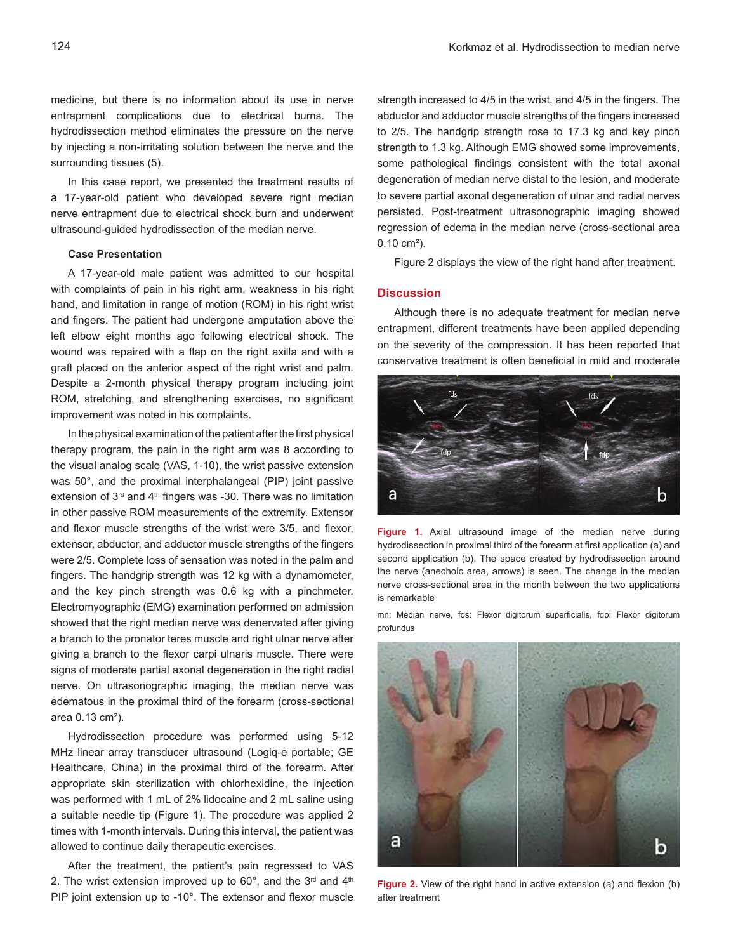medicine, but there is no information about its use in nerve entrapment complications due to electrical burns. The hydrodissection method eliminates the pressure on the nerve by injecting a non-irritating solution between the nerve and the surrounding tissues (5).

In this case report, we presented the treatment results of a 17-year-old patient who developed severe right median nerve entrapment due to electrical shock burn and underwent ultrasound-guided hydrodissection of the median nerve.

### **Case Presentation**

A 17-year-old male patient was admitted to our hospital with complaints of pain in his right arm, weakness in his right hand, and limitation in range of motion (ROM) in his right wrist and fingers. The patient had undergone amputation above the left elbow eight months ago following electrical shock. The wound was repaired with a flap on the right axilla and with a graft placed on the anterior aspect of the right wrist and palm. Despite a 2-month physical therapy program including joint ROM, stretching, and strengthening exercises, no significant improvement was noted in his complaints.

In the physical examination of the patient after the first physical therapy program, the pain in the right arm was 8 according to the visual analog scale (VAS, 1-10), the wrist passive extension was 50°, and the proximal interphalangeal (PIP) joint passive extension of  $3<sup>rd</sup>$  and  $4<sup>th</sup>$  fingers was -30. There was no limitation in other passive ROM measurements of the extremity. Extensor and flexor muscle strengths of the wrist were 3/5, and flexor, extensor, abductor, and adductor muscle strengths of the fingers were 2/5. Complete loss of sensation was noted in the palm and fingers. The handgrip strength was 12 kg with a dynamometer, and the key pinch strength was 0.6 kg with a pinchmeter. Electromyographic (EMG) examination performed on admission showed that the right median nerve was denervated after giving a branch to the pronator teres muscle and right ulnar nerve after giving a branch to the flexor carpi ulnaris muscle. There were signs of moderate partial axonal degeneration in the right radial nerve. On ultrasonographic imaging, the median nerve was edematous in the proximal third of the forearm (cross-sectional area 0.13 cm²).

Hydrodissection procedure was performed using 5-12 MHz linear array transducer ultrasound (Logiq-e portable; GE Healthcare, China) in the proximal third of the forearm. After appropriate skin sterilization with chlorhexidine, the injection was performed with 1 mL of 2% lidocaine and 2 mL saline using a suitable needle tip (Figure 1). The procedure was applied 2 times with 1-month intervals. During this interval, the patient was allowed to continue daily therapeutic exercises.

After the treatment, the patient's pain regressed to VAS 2. The wrist extension improved up to  $60^{\circ}$ , and the  $3^{\text{rd}}$  and  $4^{\text{th}}$ PIP joint extension up to -10°. The extensor and flexor muscle strength increased to 4/5 in the wrist, and 4/5 in the fingers. The abductor and adductor muscle strengths of the fingers increased to 2/5. The handgrip strength rose to 17.3 kg and key pinch strength to 1.3 kg. Although EMG showed some improvements, some pathological findings consistent with the total axonal degeneration of median nerve distal to the lesion, and moderate to severe partial axonal degeneration of ulnar and radial nerves persisted. Post-treatment ultrasonographic imaging showed regression of edema in the median nerve (cross-sectional area 0.10 cm²).

Figure 2 displays the view of the right hand after treatment.

# **Discussion**

Although there is no adequate treatment for median nerve entrapment, different treatments have been applied depending on the severity of the compression. It has been reported that conservative treatment is often beneficial in mild and moderate



**Figure 1.** Axial ultrasound image of the median nerve during hydrodissection in proximal third of the forearm at first application (a) and second application (b). The space created by hydrodissection around the nerve (anechoic area, arrows) is seen. The change in the median nerve cross-sectional area in the month between the two applications is remarkable

mn: Median nerve, fds: Flexor digitorum superficialis, fdp: Flexor digitorum profundus



Figure 2. View of the right hand in active extension (a) and flexion (b) after treatment